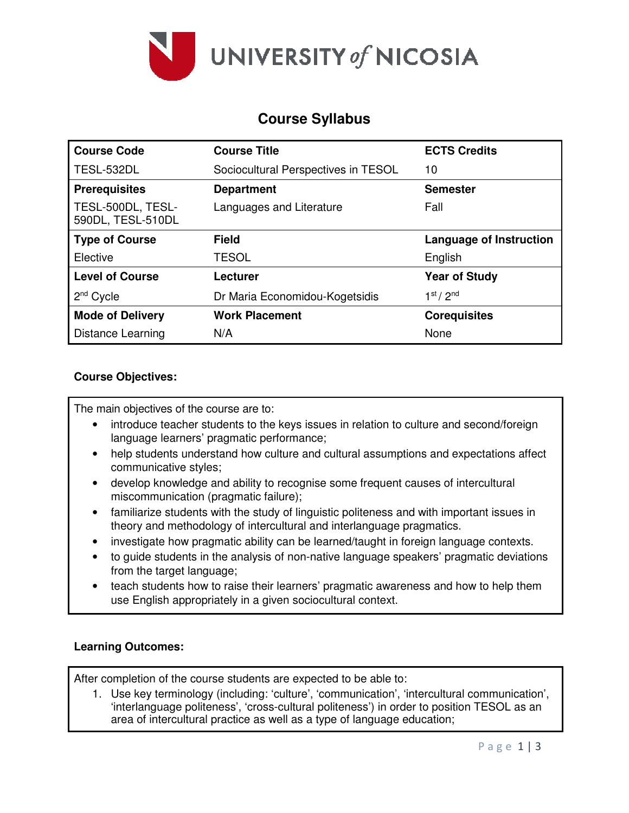

# **Course Syllabus**

| <b>Course Code</b>                     | <b>Course Title</b>                 | <b>ECTS Credits</b>               |
|----------------------------------------|-------------------------------------|-----------------------------------|
| TESL-532DL                             | Sociocultural Perspectives in TESOL | 10                                |
| <b>Prerequisites</b>                   | <b>Department</b>                   | <b>Semester</b>                   |
| TESL-500DL, TESL-<br>590DL, TESL-510DL | Languages and Literature            | Fall                              |
| <b>Type of Course</b>                  | <b>Field</b>                        | <b>Language of Instruction</b>    |
| Elective                               | <b>TESOL</b>                        | English                           |
| <b>Level of Course</b>                 | Lecturer                            | <b>Year of Study</b>              |
| 2 <sup>nd</sup> Cycle                  | Dr Maria Economidou-Kogetsidis      | 1 <sup>st</sup> / 2 <sup>nd</sup> |
| <b>Mode of Delivery</b>                | <b>Work Placement</b>               | <b>Corequisites</b>               |
| Distance Learning                      | N/A                                 | None                              |

### **Course Objectives:**

The main objectives of the course are to:

- introduce teacher students to the keys issues in relation to culture and second/foreign language learners' pragmatic performance;
- help students understand how culture and cultural assumptions and expectations affect communicative styles;
- develop knowledge and ability to recognise some frequent causes of intercultural miscommunication (pragmatic failure);
- familiarize students with the study of linguistic politeness and with important issues in theory and methodology of intercultural and interlanguage pragmatics.
- investigate how pragmatic ability can be learned/taught in foreign language contexts.
- to guide students in the analysis of non-native language speakers' pragmatic deviations from the target language;
- teach students how to raise their learners' pragmatic awareness and how to help them use English appropriately in a given sociocultural context.

### **Learning Outcomes:**

After completion of the course students are expected to be able to:

1. Use key terminology (including: 'culture', 'communication', 'intercultural communication', 'interlanguage politeness', 'cross-cultural politeness') in order to position TESOL as an area of intercultural practice as well as a type of language education;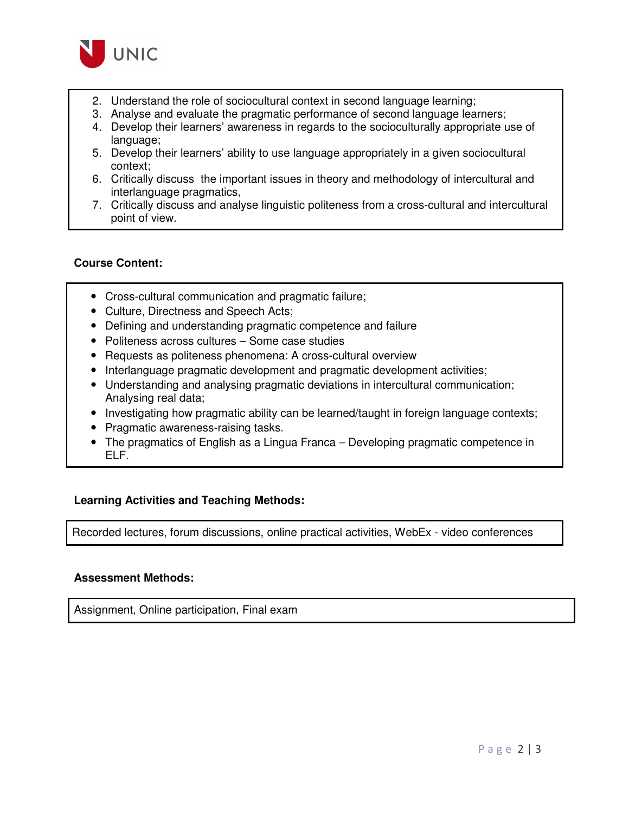

- 2. Understand the role of sociocultural context in second language learning;
- 3. Analyse and evaluate the pragmatic performance of second language learners;
- 4. Develop their learners' awareness in regards to the socioculturally appropriate use of language;
- 5. Develop their learners' ability to use language appropriately in a given sociocultural context;
- 6. Critically discuss the important issues in theory and methodology of intercultural and interlanguage pragmatics,
- 7. Critically discuss and analyse linguistic politeness from a cross-cultural and intercultural point of view.

#### **Course Content:**

- Cross-cultural communication and pragmatic failure;
- Culture, Directness and Speech Acts;
- Defining and understanding pragmatic competence and failure
- Politeness across cultures Some case studies
- Requests as politeness phenomena: A cross-cultural overview
- Interlanguage pragmatic development and pragmatic development activities;
- Understanding and analysing pragmatic deviations in intercultural communication; Analysing real data;
- Investigating how pragmatic ability can be learned/taught in foreign language contexts;
- Pragmatic awareness-raising tasks.
- The pragmatics of English as a Lingua Franca Developing pragmatic competence in ELF.

#### **Learning Activities and Teaching Methods:**

Recorded lectures, forum discussions, online practical activities, WebEx - video conferences

#### **Assessment Methods:**

Assignment, Online participation, Final exam